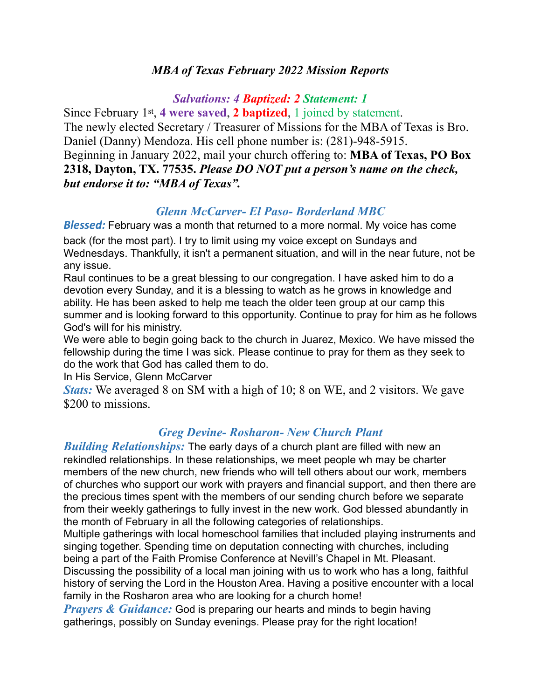# *MBA of Texas February 2022 Mission Reports*

#### *Salvations: 4 Baptized: 2 Statement: 1*

Since February 1st, **4 were saved**, **2 baptized**, 1 joined by statement. The newly elected Secretary / Treasurer of Missions for the MBA of Texas is Bro. Daniel (Danny) Mendoza. His cell phone number is: (281)-948-5915. Beginning in January 2022, mail your church offering to: **MBA of Texas, PO Box 2318, Dayton, TX. 77535.** *Please DO NOT put a person's name on the check, but endorse it to: "MBA of Texas".* 

### *Glenn McCarver- El Paso- Borderland MBC*

*Blessed:* February was a month that returned to a more normal. My voice has come back (for the most part). I try to limit using my voice except on Sundays and Wednesdays. Thankfully, it isn't a permanent situation, and will in the near future, not be any issue.

Raul continues to be a great blessing to our congregation. I have asked him to do a devotion every Sunday, and it is a blessing to watch as he grows in knowledge and ability. He has been asked to help me teach the older teen group at our camp this summer and is looking forward to this opportunity. Continue to pray for him as he follows God's will for his ministry.

We were able to begin going back to the church in Juarez, Mexico. We have missed the fellowship during the time I was sick. Please continue to pray for them as they seek to do the work that God has called them to do.

In His Service, Glenn McCarver

*Stats:* We averaged 8 on SM with a high of 10; 8 on WE, and 2 visitors. We gave \$200 to missions.

# *Greg Devine- Rosharon- New Church Plant*

*Building Relationships:* The early days of a church plant are filled with new an rekindled relationships. In these relationships, we meet people wh may be charter members of the new church, new friends who will tell others about our work, members of churches who support our work with prayers and financial support, and then there are the precious times spent with the members of our sending church before we separate from their weekly gatherings to fully invest in the new work. God blessed abundantly in the month of February in all the following categories of relationships.

Multiple gatherings with local homeschool families that included playing instruments and singing together. Spending time on deputation connecting with churches, including being a part of the Faith Promise Conference at Nevill's Chapel in Mt. Pleasant. Discussing the possibility of a local man joining with us to work who has a long, faithful history of serving the Lord in the Houston Area. Having a positive encounter with a local family in the Rosharon area who are looking for a church home!

*Prayers & Guidance:* God is preparing our hearts and minds to begin having gatherings, possibly on Sunday evenings. Please pray for the right location!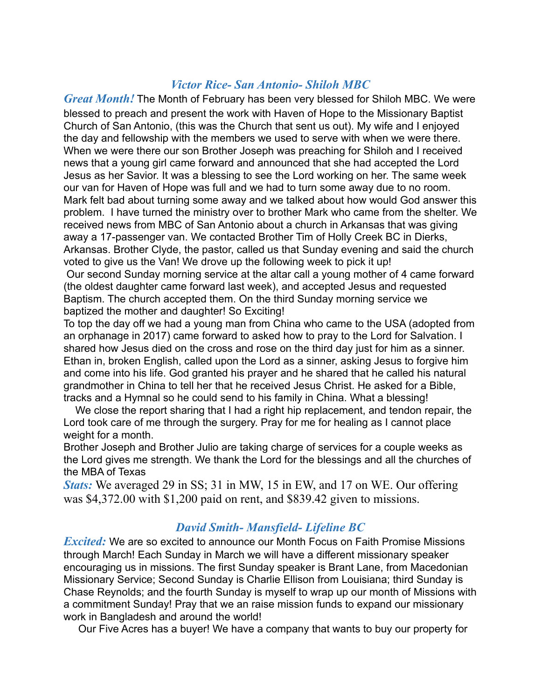## *Victor Rice- San Antonio- Shiloh MBC*

*Great Month!* The Month of February has been very blessed for Shiloh MBC. We were blessed to preach and present the work with Haven of Hope to the Missionary Baptist Church of San Antonio, (this was the Church that sent us out). My wife and I enjoyed the day and fellowship with the members we used to serve with when we were there. When we were there our son Brother Joseph was preaching for Shiloh and I received news that a young girl came forward and announced that she had accepted the Lord Jesus as her Savior. It was a blessing to see the Lord working on her. The same week our van for Haven of Hope was full and we had to turn some away due to no room. Mark felt bad about turning some away and we talked about how would God answer this problem. I have turned the ministry over to brother Mark who came from the shelter. We received news from MBC of San Antonio about a church in Arkansas that was giving away a 17-passenger van. We contacted Brother Tim of Holly Creek BC in Dierks, Arkansas. Brother Clyde, the pastor, called us that Sunday evening and said the church voted to give us the Van! We drove up the following week to pick it up!

 Our second Sunday morning service at the altar call a young mother of 4 came forward (the oldest daughter came forward last week), and accepted Jesus and requested Baptism. The church accepted them. On the third Sunday morning service we baptized the mother and daughter! So Exciting!

To top the day off we had a young man from China who came to the USA (adopted from an orphanage in 2017) came forward to asked how to pray to the Lord for Salvation. I shared how Jesus died on the cross and rose on the third day just for him as a sinner. Ethan in, broken English, called upon the Lord as a sinner, asking Jesus to forgive him and come into his life. God granted his prayer and he shared that he called his natural grandmother in China to tell her that he received Jesus Christ. He asked for a Bible, tracks and a Hymnal so he could send to his family in China. What a blessing!

 We close the report sharing that I had a right hip replacement, and tendon repair, the Lord took care of me through the surgery. Pray for me for healing as I cannot place weight for a month.

Brother Joseph and Brother Julio are taking charge of services for a couple weeks as the Lord gives me strength. We thank the Lord for the blessings and all the churches of the MBA of Texas

*Stats:* We averaged 29 in SS; 31 in MW, 15 in EW, and 17 on WE. Our offering was \$4,372.00 with \$1,200 paid on rent, and \$839.42 given to missions.

# *David Smith- Mansfield- Lifeline BC*

*Excited:* We are so excited to announce our Month Focus on Faith Promise Missions through March! Each Sunday in March we will have a different missionary speaker encouraging us in missions. The first Sunday speaker is Brant Lane, from Macedonian Missionary Service; Second Sunday is Charlie Ellison from Louisiana; third Sunday is Chase Reynolds; and the fourth Sunday is myself to wrap up our month of Missions with a commitment Sunday! Pray that we an raise mission funds to expand our missionary work in Bangladesh and around the world!

Our Five Acres has a buyer! We have a company that wants to buy our property for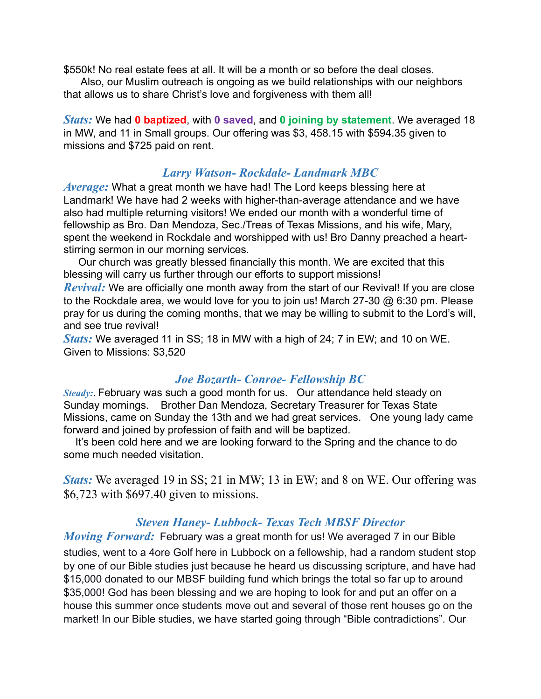\$550k! No real estate fees at all. It will be a month or so before the deal closes.

 Also, our Muslim outreach is ongoing as we build relationships with our neighbors that allows us to share Christ's love and forgiveness with them all!

*Stats:* We had **0 baptized**, with **0 saved**, and **0 joining by statement**. We averaged 18 in MW, and 11 in Small groups. Our offering was \$3, 458.15 with \$594.35 given to missions and \$725 paid on rent.

## *Larry Watson- Rockdale- Landmark MBC*

*Average:* What a great month we have had! The Lord keeps blessing here at Landmark! We have had 2 weeks with higher-than-average attendance and we have also had multiple returning visitors! We ended our month with a wonderful time of fellowship as Bro. Dan Mendoza, Sec./Treas of Texas Missions, and his wife, Mary, spent the weekend in Rockdale and worshipped with us! Bro Danny preached a heartstirring sermon in our morning services.

 Our church was greatly blessed financially this month. We are excited that this blessing will carry us further through our efforts to support missions!

*Revival:* We are officially one month away from the start of our Revival! If you are close to the Rockdale area, we would love for you to join us! March 27-30 @ 6:30 pm. Please pray for us during the coming months, that we may be willing to submit to the Lord's will, and see true revival!

*Stats:* We averaged 11 in SS; 18 in MW with a high of 24; 7 in EW; and 10 on WE. Given to Missions: \$3,520

#### *Joe Bozarth- Conroe- Fellowship BC*

*Steady:*. February was such a good month for us. Our attendance held steady on Sunday mornings. Brother Dan Mendoza, Secretary Treasurer for Texas State Missions, came on Sunday the 13th and we had great services. One young lady came forward and joined by profession of faith and will be baptized.

 It's been cold here and we are looking forward to the Spring and the chance to do some much needed visitation.

*Stats:* We averaged 19 in SS; 21 in MW; 13 in EW; and 8 on WE. Our offering was \$6,723 with \$697.40 given to missions.

#### *Steven Haney- Lubbock- Texas Tech MBSF Director*

*Moving Forward:* February was a great month for us! We averaged 7 in our Bible studies, went to a 4ore Golf here in Lubbock on a fellowship, had a random student stop by one of our Bible studies just because he heard us discussing scripture, and have had \$15,000 donated to our MBSF building fund which brings the total so far up to around \$35,000! God has been blessing and we are hoping to look for and put an offer on a house this summer once students move out and several of those rent houses go on the market! In our Bible studies, we have started going through "Bible contradictions". Our